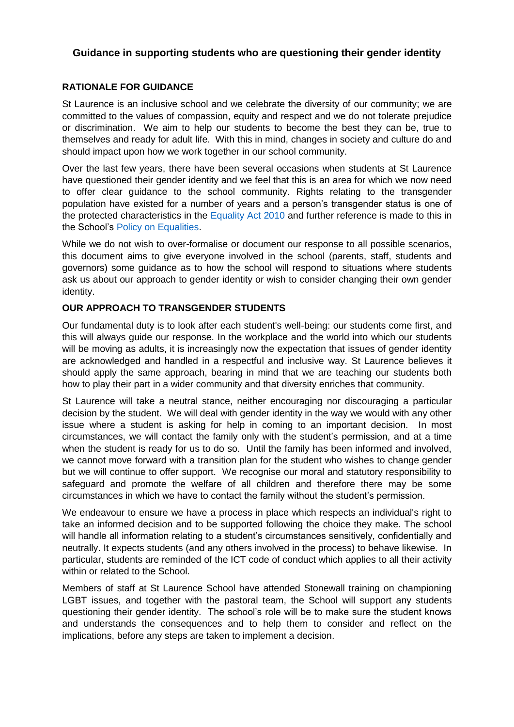# **Guidance in supporting students who are questioning their gender identity**

### **RATIONALE FOR GUIDANCE**

St Laurence is an inclusive school and we celebrate the diversity of our community; we are committed to the values of compassion, equity and respect and we do not tolerate prejudice or discrimination. We aim to help our students to become the best they can be, true to themselves and ready for adult life. With this in mind, changes in society and culture do and should impact upon how we work together in our school community.

Over the last few years, there have been several occasions when students at St Laurence have questioned their gender identity and we feel that this is an area for which we now need to offer clear guidance to the school community. Rights relating to the transgender population have existed for a number of years and a person's transgender status is one of the protected characteristics in the [Equality Act 2010](https://www.gov.uk/guidance/equality-act-2010-guidance) and further reference is made to this in the School's [Policy on Equalities.](https://st-laurence.com/wp-content/uploads/2015/02/School-Policy-on-Equalities-Jan-2017.pdf)

While we do not wish to over-formalise or document our response to all possible scenarios, this document aims to give everyone involved in the school (parents, staff, students and governors) some guidance as to how the school will respond to situations where students ask us about our approach to gender identity or wish to consider changing their own gender identity.

### **OUR APPROACH TO TRANSGENDER STUDENTS**

Our fundamental duty is to look after each student's well-being: our students come first, and this will always guide our response. In the workplace and the world into which our students will be moving as adults, it is increasingly now the expectation that issues of gender identity are acknowledged and handled in a respectful and inclusive way. St Laurence believes it should apply the same approach, bearing in mind that we are teaching our students both how to play their part in a wider community and that diversity enriches that community.

St Laurence will take a neutral stance, neither encouraging nor discouraging a particular decision by the student. We will deal with gender identity in the way we would with any other issue where a student is asking for help in coming to an important decision. In most circumstances, we will contact the family only with the student's permission, and at a time when the student is ready for us to do so. Until the family has been informed and involved, we cannot move forward with a transition plan for the student who wishes to change gender but we will continue to offer support. We recognise our moral and statutory responsibility to safeguard and promote the welfare of all children and therefore there may be some circumstances in which we have to contact the family without the student's permission.

We endeavour to ensure we have a process in place which respects an individual's right to take an informed decision and to be supported following the choice they make. The school will handle all information relating to a student's circumstances sensitively, confidentially and neutrally. It expects students (and any others involved in the process) to behave likewise. In particular, students are reminded of the ICT code of conduct which applies to all their activity within or related to the School.

Members of staff at St Laurence School have attended Stonewall training on championing LGBT issues, and together with the pastoral team, the School will support any students questioning their gender identity. The school's role will be to make sure the student knows and understands the consequences and to help them to consider and reflect on the implications, before any steps are taken to implement a decision.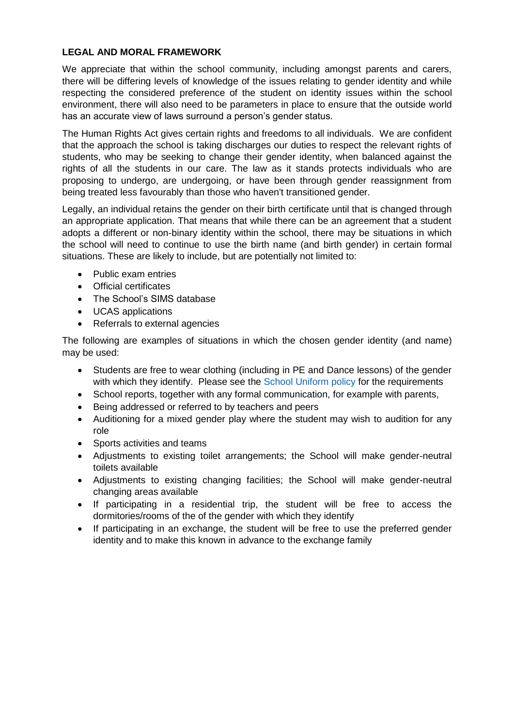# **LEGAL AND MORAL FRAMEWORK**

We appreciate that within the school community, including amongst parents and carers, there will be differing levels of knowledge of the issues relating to gender identity and while respecting the considered preference of the student on identity issues within the school environment, there will also need to be parameters in place to ensure that the outside world has an accurate view of laws surround a person's gender status.

The Human Rights Act gives certain rights and freedoms to all individuals. We are confident that the approach the school is taking discharges our duties to respect the relevant rights of students, who may be seeking to change their gender identity, when balanced against the rights of all the students in our care. The law as it stands protects individuals who are proposing to undergo, are undergoing, or have been through gender reassignment from being treated less favourably than those who haven't transitioned gender.

Legally, an individual retains the gender on their birth certificate until that is changed through an appropriate application. That means that while there can be an agreement that a student adopts a different or non-binary identity within the school, there may be situations in which the school will need to continue to use the birth name (and birth gender) in certain formal situations. These are likely to include, but are potentially not limited to:

- Public exam entries
- Official certificates
- The School's SIMS database
- UCAS applications
- Referrals to external agencies

The following are examples of situations in which the chosen gender identity (and name) may be used:

- Students are free to wear clothing (including in PE and Dance lessons) of the gender with which they identify. Please see the [School Uniform policy](https://st-laurence.com/wp-content/uploads/2015/07/School-Uniform-Requirements-1.pdf) for the requirements
- School reports, together with any formal communication, for example with parents,
- Being addressed or referred to by teachers and peers
- Auditioning for a mixed gender play where the student may wish to audition for any role
- Sports activities and teams
- Adjustments to existing toilet arrangements; the School will make gender-neutral toilets available
- Adjustments to existing changing facilities; the School will make gender-neutral changing areas available
- If participating in a residential trip, the student will be free to access the dormitories/rooms of the of the gender with which they identify
- If participating in an exchange, the student will be free to use the preferred gender identity and to make this known in advance to the exchange family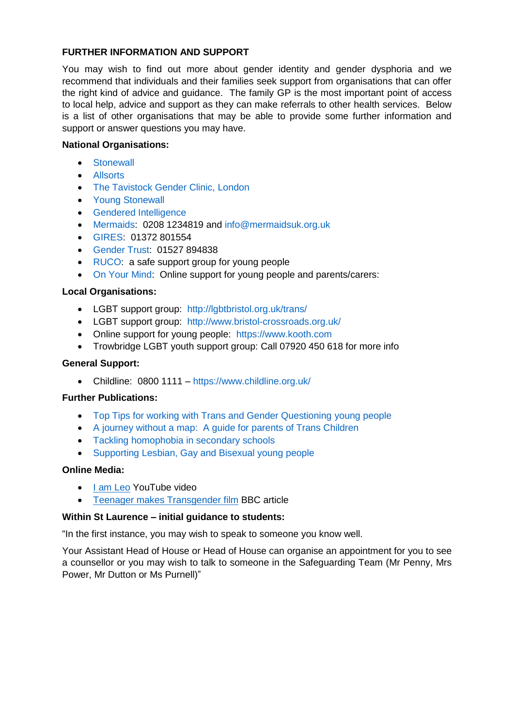### **FURTHER INFORMATION AND SUPPORT**

You may wish to find out more about gender identity and gender dysphoria and we recommend that individuals and their families seek support from organisations that can offer the right kind of advice and guidance. The family GP is the most important point of access to local help, advice and support as they can make referrals to other health services. Below is a list of other organisations that may be able to provide some further information and support or answer questions you may have.

### **National Organisations:**

- **•** [Stonewall](http://www.stonewall.org.uk/)
- [Allsorts](http://www.allsortsyouth.org.uk/)
- The Tavistock Gender Clinic, London
- [Young Stonewall](http://www.youngstonewall.org.uk/)
- **•** Gendered Intelligence
- [Mermaids:](http://www.mermaidsuk.org.uk/) 0208 1234819 and [info@mermaidsuk.org.uk](mailto:info@mermaidsuk.org.uk)
- [GIRES:](http://www.gires.org.uk/) 01372 801554
- [Gender Trust:](http://www.gendertrust.org.uk/) 01527 894838
- [RUCO:](http://www.rucomingout.com/) a safe support group for young people
- [On Your Mind:](http://www.onyourmind.org.uk/) Online support for young people and parents/carers:

### **Local Organisations:**

- LGBT support group: <http://lgbtbristol.org.uk/trans/>
- LGBT support group: <http://www.bristol-crossroads.org.uk/>
- Online support for young people: [https://www.kooth.com](https://www.kooth.com/)
- Trowbridge LGBT youth support group: Call 07920 450 618 for more info

### **General Support:**

Childline: 0800 1111 – <https://www.childline.org.uk/>

### **Further Publications:**

- [Top Tips for working with Trans and Gender Questioning young people](http://www.allsortsyouth.org.uk/wp-content/uploads/2016/12/51740-Top-Tips-booklet-version-2-cropped.pdf)
- [A journey without a map: A guide for parents of Trans Children](http://www.allsortsyouth.org.uk/wp-content/uploads/2014/02/trans-parents-booklet.pdf)
- [Tackling homophobia in secondary schools](http://www.allsortsyouth.org.uk/wp-content/uploads/Secondary-1.pdf)
- Supporting Lesbian, Gay and Bisexual young people

### **Online Media:**

- [I am Leo](https://www.youtube.com/watch?v=0x_u2cs8DpI) YouTube video
- [Teenager makes Transgender film](http://www.bbc.co.uk/news/av/uk-england-leicestershire-38742772/transgender-teenager-makes-film-to-help-others) BBC article

### **Within St Laurence – initial guidance to students:**

"In the first instance, you may wish to speak to someone you know well.

Your Assistant Head of House or Head of House can organise an appointment for you to see a counsellor or you may wish to talk to someone in the Safeguarding Team (Mr Penny, Mrs Power, Mr Dutton or Ms Purnell)"